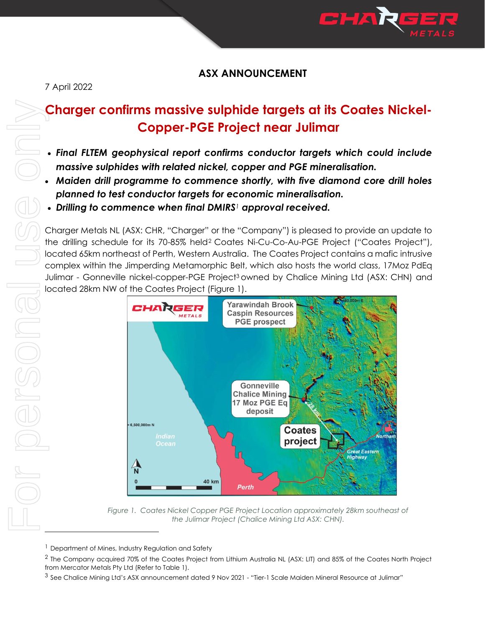

# **ASX ANNOUNCEMENT**

7 April 2022

# **Charger confirms massive sulphide targets at its Coates Nickel-Copper-PGE Project near Julimar**

- *Final FLTEM geophysical report confirms conductor targets which could include massive sulphides with related nickel, copper and PGE mineralisation.*
- *Maiden drill programme to commence shortly, with five diamond core drill holes planned to test conductor targets for economic mineralisation.*
- *Drilling to commence when final DMIRS<sup>1</sup> approval received.*

Charger Metals NL (ASX: CHR, "Charger" or the "Company") is pleased to provide an update to the drilling schedule for its 70-85% held<sup>2</sup> Coates Ni-Cu-Co-Au-PGE Project ("Coates Project"), located 65km northeast of Perth, Western Australia. The Coates Project contains a mafic intrusive complex within the Jimperding Metamorphic Belt, which also hosts the world class, 17Moz PdEq Julimar - Gonneville nickel-copper-PGE Project<sup>3</sup> owned by Chalice Mining Ltd (ASX: CHN) and located 28km NW of the Coates Project (Figure 1).



Figure 1. Coates Nickel Copper PGE Project Location approximately 28km southeast of *the Julimar Project (Chalice Mining Ltd ASX: CHN).*

<sup>&</sup>lt;sup>1</sup> Department of Mines, Industry Regulation and Safety

 $^2$  The Company acquired 70% of the Coates Project from Lithium Australia NL (ASX: LIT) and 85% of the Coates North Project from Mercator Metals Pty Ltd (Refer to Table 1).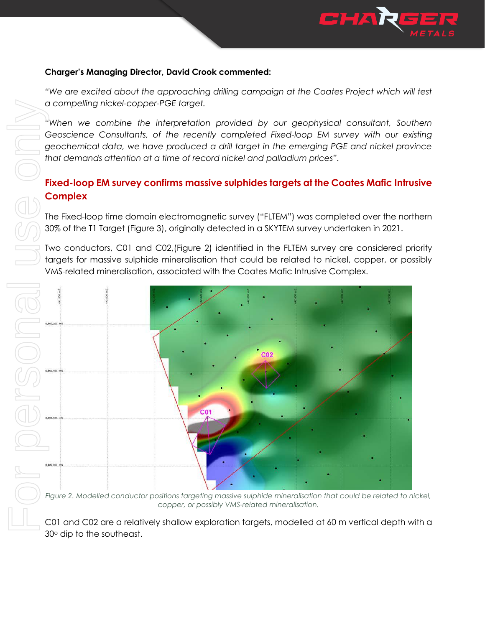

#### **Charger's Managing Director, David Crook commented:**

*"We are excited about the approaching drilling campaign at the Coates Project which will test a compelling nickel-copper-PGE target.*

*"When we combine the interpretation provided by our geophysical consultant, Southern Geoscience Consultants, of the recently completed Fixed-loop EM survey with our existing geochemical data, we have produced a drill target in the emerging PGE and nickel province that demands attention at a time of record nickel and palladium prices".* 

# **Fixed-loop EM survey confirms massive sulphides targets at the Coates Mafic Intrusive Complex**

The Fixed-loop time domain electromagnetic survey ("FLTEM") was completed over the northern 30% of the T1 Target (Figure 3), originally detected in a SKYTEM survey undertaken in 2021.

Two conductors, C01 and C02,(Figure 2) identified in the FLTEM survey are considered priority targets for massive sulphide mineralisation that could be related to nickel, copper, or possibly VMS-related mineralisation, associated with the Coates Mafic Intrusive Complex.



Figure 2. Modelled conductor positions targeting massive sulphide mineralisation that could be related to nickel, *copper, or possibly VMS-related mineralisation.*

30° dip to the southeast.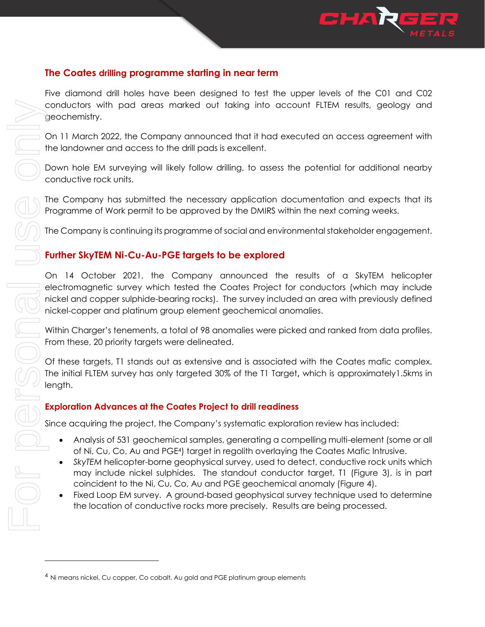

## **The Coates drilling programme starting in near term**

On 11 March 2022, the Company announced that it had executed an access agreement with the landowner and access to the drill pads is excellent.

Down hole EM surveying will likely follow drilling, to assess the potential for additional nearby conductive rock units.

The Company has submitted the necessary application documentation and expects that its Programme of Work permit to be approved by the DMIRS within the next coming weeks.

The Company is continuing its programme of social and environmental stakeholder engagement.

## **Further SkyTEM Ni-Cu-Au-PGE targets to be explored**

On 14 October 2021, the Company announced the results of a SkyTEM helicopter electromagnetic survey which tested the Coates Project for conductors (which may include nickel and copper sulphide-bearing rocks). The survey included an area with previously defined nickel-copper and platinum group element geochemical anomalies.

Within Charger's tenements, a total of 98 anomalies were picked and ranked from data profiles. From these, 20 priority targets were delineated.

Of these targets, T1 stands out as extensive and is associated with the Coates mafic complex. The initial FLTEM survey has only targeted 30% of the T1 Target**,** which is approximately1.5kms in length.

## **Exploration Advances at the Coates Project to drill readiness**

Since acquiring the project, the Company's systematic exploration review has included:

- Analysis of 531 geochemical samples, generating a compelling multi-element (some or all of Ni, Cu, Co, Au and PGE4) target in regolith overlaying the Coates Mafic Intrusive.
- *SkyTEM* helicopter-borne geophysical survey, used to detect, conductive rock units which may include nickel sulphides. The standout conductor target, T1 (Figure 3), is in part coincident to the Ni, Cu, Co, Au and PGE geochemical anomaly (Figure 4).
- Fixed Loop EM survey. A ground-based geophysical survey technique used to determine the location of conductive rocks more precisely. Results are being processed.

conductors with pad areas marked out toking into account dependents in the amount of the form of and and the section of the form of the company in the EM surveying will likely follow drilling, to assess the personal be EM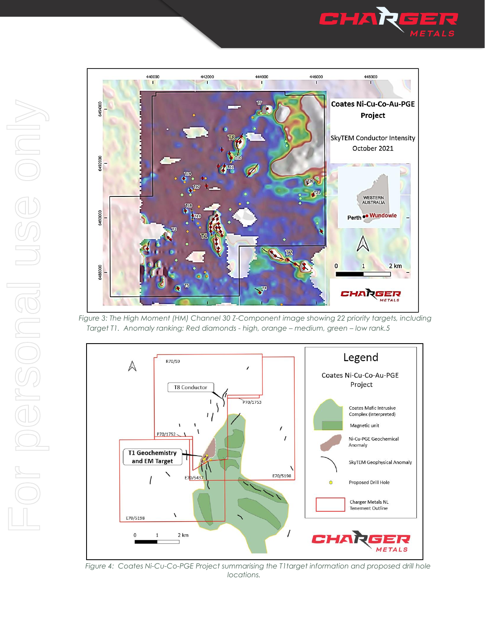



*Figure 3: The High Moment (HM) Channel 30 Z-Component image showing 22 priority targets, including Target T1. Anomaly ranking: Red diamonds - high, orange – medium, green – low rank.5*



Figure 4: Coates Ni-Cu-Co-PGE Project summarising the T1target information and proposed drill hole *locations.*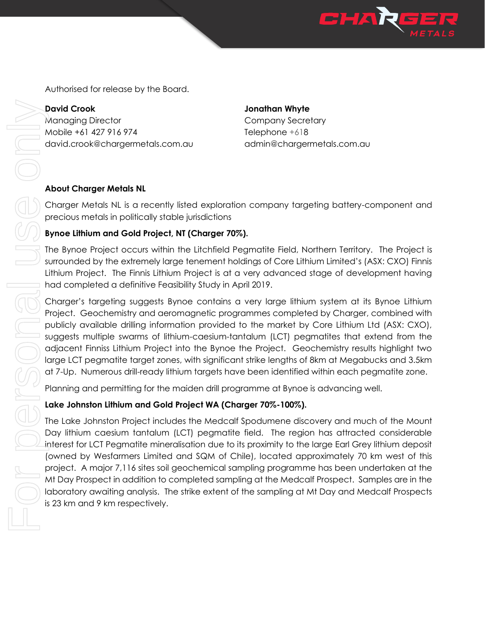

Authorised for release by the Board.

**David Crook Jonathan Whyte** Managing Director **Company Secretary** Mobile +61 427 916 974 Telephone +618 david.crook@chargermetals.com.au admin@chargermetals.com.au

#### **About Charger Metals NL**

Charger Metals NL is a recently listed exploration company targeting battery-component and precious metals in politically stable jurisdictions

## **Bynoe Lithium and Gold Project, NT (Charger 70%).**

The Bynoe Project occurs within the Litchfield Pegmatite Field, Northern Territory. The Project is surrounded by the extremely large tenement holdings of Core Lithium Limited's (ASX: CXO) Finnis Lithium Project. The Finnis Lithium Project is at a very advanced stage of development having had completed a definitive Feasibility Study in April 2019.

Charger's targeting suggests Bynoe contains a very large lithium system at its Bynoe Lithium Project. Geochemistry and aeromagnetic programmes completed by Charger, combined with publicly available drilling information provided to the market by Core Lithium Ltd (ASX: CXO), suggests multiple swarms of lithium-caesium-tantalum (LCT) pegmatites that extend from the adjacent Finniss Lithium Project into the Bynoe the Project. Geochemistry results highlight two large LCT pegmatite target zones, with significant strike lengths of 8km at Megabucks and 3.5km at 7-Up. Numerous drill-ready lithium targets have been identified within each pegmatite zone.

Planning and permitting for the maiden drill programme at Bynoe is advancing well.

## **Lake Johnston Lithium and Gold Project WA (Charger 70%-100%).**

The Lake Johnston Project includes the Medcalf Spodumene discovery and much of the Mount Day lithium caesium tantalum (LCT) pegmatite field. The region has attracted considerable interest for LCT Pegmatite mineralisation due to its proximity to the large Earl Grey lithium deposit (owned by Wesfarmers Limited and SQM of Chile), located approximately 70 km west of this project. A major 7,116 sites soil geochemical sampling programme has been undertaken at the Mt Day Prospect in addition to completed sampling at the Medcalf Prospect. Samples are in the laboratory awaiting analysis. The strike extent of the sampling at Mt Day and Medcalf Prospects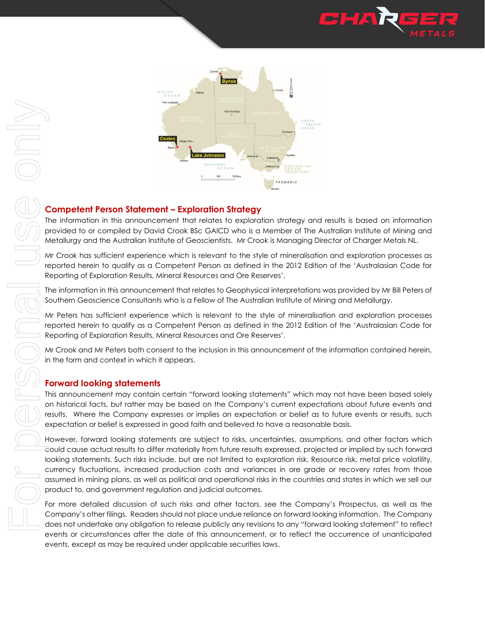



#### **Competent Person Statement – Exploration Strategy**

The information in this announcement that relates to exploration strategy and results is based on information provided to or compiled by David Crook BSc GAICD who is a Member of The Australian Institute of Mining and Metallurgy and the Australian Institute of Geoscientists. Mr Crook is Managing Director of Charger Metals NL.

Mr Crook has sufficient experience which is relevant to the style of mineralisation and exploration processes as reported herein to qualify as a Competent Person as defined in the 2012 Edition of the 'Australasian Code for Reporting of Exploration Results, Mineral Resources and Ore Reserves'.

The information in this announcement that relates to Geophysical interpretations was provided by Mr Bill Peters of Southern Geoscience Consultants who is a Fellow of The Australian Institute of Mining and Metallurgy.

Mr Peters has sufficient experience which is relevant to the style of mineralisation and exploration processes reported herein to qualify as a Competent Person as defined in the 2012 Edition of the 'Australasian Code for Reporting of Exploration Results, Mineral Resources and Ore Reserves'.

Mr Crook and Mr Peters both consent to the inclusion in this announcement of the information contained herein, in the form and context in which it appears.

#### **Forward looking statements**

This announcement may contain certain "forward looking statements" which may not have been based solely on historical facts, but rather may be based on the Company's current expectations about future events and results. Where the Company expresses or implies an expectation or belief as to future events or results, such expectation or belief is expressed in good faith and believed to have a reasonable basis.

However, forward looking statements are subject to risks, uncertainties, assumptions, and other factors which could cause actual results to differ materially from future results expressed, projected or implied by such forward looking statements. Such risks include, but are not limited to exploration risk, Resource risk, metal price volatility, currency fluctuations, increased production costs and variances in ore grade or recovery rates from those assumed in mining plans, as well as political and operational risks in the countries and states in which we sell our product to, and government regulation and judicial outcomes. events or circumstances after the date of the date of the date of the date of the date of the date of the date of the date of the date of the date of the date of the date of the occurrence of the occurrence of the occurren

For more detailed discussion of such risks and other factors, see the Company's Prospectus, as well as the Company's other filings. Readers should not place undue reliance on forward looking information. The Company does not undertake any obligation to release publicly any revisions to any "forward looking statement" to reflect events, except as may be required under applicable securities laws.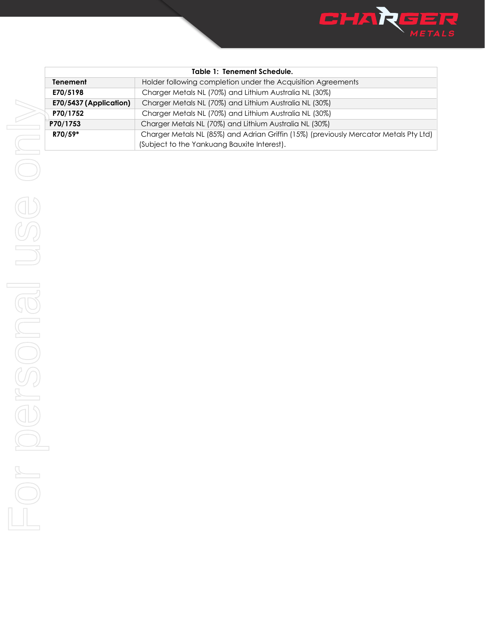

| <b>Table 1: Tenement Schedule.</b> |                                                                                       |  |
|------------------------------------|---------------------------------------------------------------------------------------|--|
| <b>Tenement</b>                    | Holder following completion under the Acquisition Agreements                          |  |
| E70/5198                           | Charger Metals NL (70%) and Lithium Australia NL (30%)                                |  |
| E70/5437 (Application)             | Charger Metals NL (70%) and Lithium Australia NL (30%)                                |  |
| P70/1752                           | Charger Metals NL (70%) and Lithium Australia NL (30%)                                |  |
| P70/1753                           | Charger Metals NL (70%) and Lithium Australia NL (30%)                                |  |
| R70/59*                            | Charger Metals NL (85%) and Adrian Griffin (15%) (previously Mercator Metals Pty Ltd) |  |
|                                    | (Subject to the Yankuang Bauxite Interest).                                           |  |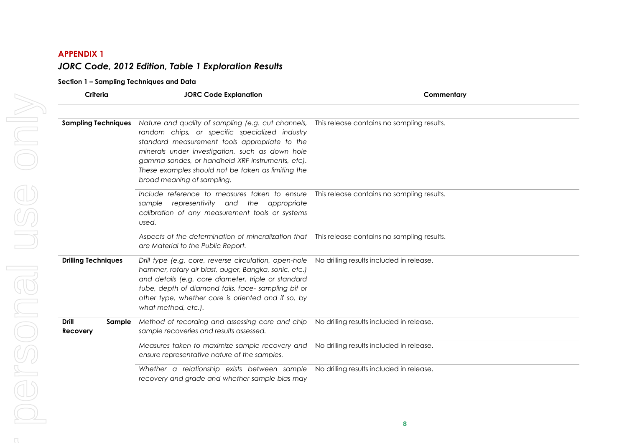## **APPENDIX 1** *JORC Code, 2012 Edition, Table 1 Exploration Results*

#### **Section 1 – Sampling Techniques and Data**

| Criteria                                  | <b>JORC Code Explanation</b>                                                                                                                                                                                                                                                                                                                     | Commentary                                 |  |
|-------------------------------------------|--------------------------------------------------------------------------------------------------------------------------------------------------------------------------------------------------------------------------------------------------------------------------------------------------------------------------------------------------|--------------------------------------------|--|
| <b>Sampling Techniques</b>                | Nature and quality of sampling (e.g. cut channels,<br>random chips, or specific specialized industry<br>standard measurement tools appropriate to the<br>minerals under investigation, such as down hole<br>gamma sondes, or handheld XRF instruments, etc).<br>These examples should not be taken as limiting the<br>broad meaning of sampling. | This release contains no sampling results. |  |
|                                           | Include reference to measures taken to ensure<br>sample representivity and the appropriate<br>calibration of any measurement tools or systems<br>used.                                                                                                                                                                                           | This release contains no sampling results. |  |
|                                           | Aspects of the determination of mineralization that  This release contains no sampling results.<br>are Material to the Public Report.                                                                                                                                                                                                            |                                            |  |
| <b>Drilling Techniques</b>                | Drill type (e.g. core, reverse circulation, open-hole<br>hammer, rotary air blast, auger, Bangka, sonic, etc.)<br>and details (e.g. core diameter, triple or standard<br>tube, depth of diamond tails, face-sampling bit or<br>other type, whether core is oriented and if so, by<br>what method, etc.).                                         | No drilling results included in release.   |  |
| <b>Drill</b><br>Sample<br><b>Recovery</b> | Method of recording and assessing core and chip<br>sample recoveries and results assessed.                                                                                                                                                                                                                                                       | No drilling results included in release.   |  |
|                                           | Measures taken to maximize sample recovery and<br>ensure representative nature of the samples.                                                                                                                                                                                                                                                   | No drilling results included in release.   |  |
|                                           | Whether a relationship exists between sample<br>recovery and grade and whether sample bias may                                                                                                                                                                                                                                                   | No drilling results included in release.   |  |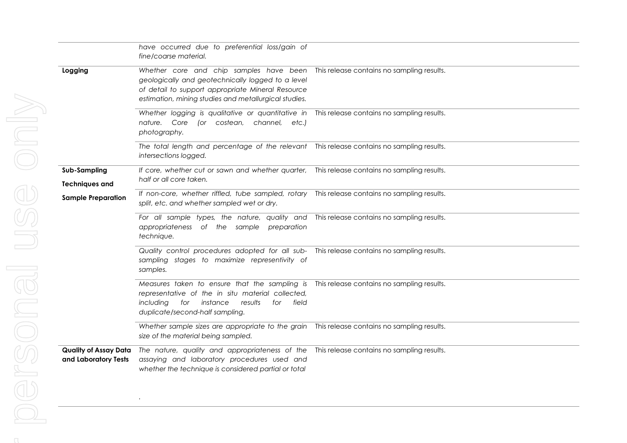|                                                      | have occurred due to preferential loss/gain of<br>fine/coarse material.                                                                                                                                    |                                            |
|------------------------------------------------------|------------------------------------------------------------------------------------------------------------------------------------------------------------------------------------------------------------|--------------------------------------------|
| Logging                                              | Whether core and chip samples have been<br>geologically and geotechnically logged to a level<br>of detail to support appropriate Mineral Resource<br>estimation, mining studies and metallurgical studies. | This release contains no sampling results. |
|                                                      | Whether logging is qualitative or quantitative in This release contains no sampling results.<br>nature. Core<br>(or costean, channel, etc.)<br>photography.                                                |                                            |
|                                                      | The total length and percentage of the relevant This release contains no sampling results.<br>intersections logged.                                                                                        |                                            |
| Sub-Sampling<br><b>Techniques and</b>                | If core, whether cut or sawn and whether quarter, This release contains no sampling results.<br>half or all core taken.                                                                                    |                                            |
| <b>Sample Preparation</b>                            | If non-core, whether riffled, tube sampled, rotary This release contains no sampling results.<br>split, etc. and whether sampled wet or dry.                                                               |                                            |
|                                                      | For all sample types, the nature, quality and This release contains no sampling results.<br>appropriateness of the sample preparation<br>technique.                                                        |                                            |
|                                                      | Quality control procedures adopted for all sub- This release contains no sampling results.<br>sampling stages to maximize representivity of<br>samples.                                                    |                                            |
|                                                      | Measures taken to ensure that the sampling is<br>representative of the in situ material collected,<br>including<br>instance<br>field<br>for<br>results<br>for<br>duplicate/second-half sampling.           | This release contains no sampling results. |
|                                                      | Whether sample sizes are appropriate to the grain This release contains no sampling results.<br>size of the material being sampled.                                                                        |                                            |
| <b>Quality of Assay Data</b><br>and Laboratory Tests | The nature, quality and appropriateness of the<br>assaying and laboratory procedures used and<br>whether the technique is considered partial or total                                                      | This release contains no sampling results. |

*.*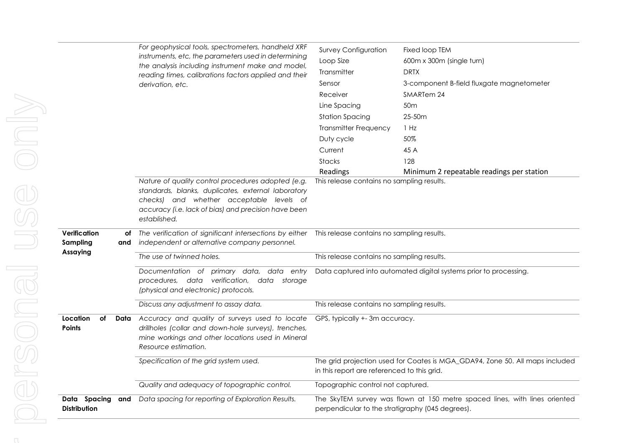|                                 |      | For geophysical tools, spectrometers, handheld XRF<br>instruments, etc, the parameters used in determining<br>the analysis including instrument make and model,<br>reading times, calibrations factors applied and their<br>derivation, etc. | <b>Survey Configuration</b><br>Loop Size<br>Transmitter<br>Sensor<br>Receiver<br>Line Spacing<br><b>Station Spacing</b><br><b>Transmitter Frequency</b><br>Duty cycle<br>Current<br>Stacks | Fixed loop TEM<br>600m x 300m (single turn)<br><b>DRTX</b><br>3-component B-field fluxgate magnetometer<br>SMARTem 24<br>50 <sub>m</sub><br>25-50m<br>1 Hz<br>50%<br>45 A<br>128 |
|---------------------------------|------|----------------------------------------------------------------------------------------------------------------------------------------------------------------------------------------------------------------------------------------------|--------------------------------------------------------------------------------------------------------------------------------------------------------------------------------------------|----------------------------------------------------------------------------------------------------------------------------------------------------------------------------------|
|                                 |      |                                                                                                                                                                                                                                              | Readings                                                                                                                                                                                   | Minimum 2 repeatable readings per station                                                                                                                                        |
|                                 |      | Nature of quality control procedures adopted (e.g.<br>standards, blanks, duplicates, external laboratory<br>checks) and whether acceptable levels of<br>accuracy (i.e. lack of bias) and precision have been<br>established.                 | This release contains no sampling results.                                                                                                                                                 |                                                                                                                                                                                  |
| Verification<br>Sampling        | and  | of The verification of significant intersections by either This release contains no sampling results.<br>independent or alternative company personnel.                                                                                       |                                                                                                                                                                                            |                                                                                                                                                                                  |
| Assaying                        |      | The use of twinned holes.                                                                                                                                                                                                                    | This release contains no sampling results.                                                                                                                                                 |                                                                                                                                                                                  |
|                                 |      | Documentation of primary data, data entry<br>procedures, data verification,<br>data storage<br>(physical and electronic) protocols.                                                                                                          |                                                                                                                                                                                            | Data captured into automated digital systems prior to processing.                                                                                                                |
|                                 |      | Discuss any adjustment to assay data.                                                                                                                                                                                                        | This release contains no sampling results.                                                                                                                                                 |                                                                                                                                                                                  |
| Location<br>оf<br><b>Points</b> | Data | Accuracy and quality of surveys used to locate<br>drillholes (collar and down-hole surveys), trenches,<br>mine workings and other locations used in Mineral<br>Resource estimation.                                                          | GPS, typically +-3m accuracy.                                                                                                                                                              |                                                                                                                                                                                  |
|                                 |      | Specification of the grid system used.                                                                                                                                                                                                       | in this report are referenced to this grid.                                                                                                                                                | The grid projection used for Coates is MGA_GDA94, Zone 50. All maps included                                                                                                     |
|                                 |      | Quality and adequacy of topographic control.                                                                                                                                                                                                 | Topographic control not captured.                                                                                                                                                          |                                                                                                                                                                                  |
| Data Spacing<br>Distribution    | and  | Data spacing for reporting of Exploration Results.                                                                                                                                                                                           | perpendicular to the stratigraphy (045 degrees).                                                                                                                                           | The SkyTEM survey was flown at 150 metre spaced lines, with lines oriented                                                                                                       |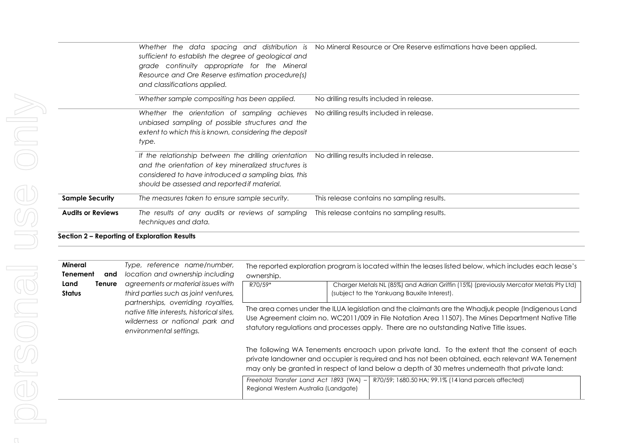|                          | sufficient to establish the degree of geological and<br>grade continuity appropriate for the Mineral<br>Resource and Ore Reserve estimation procedure(s)<br>and classifications applied.                                                                     | Whether the data spacing and distribution is No Mineral Resource or Ore Reserve estimations have been applied. |
|--------------------------|--------------------------------------------------------------------------------------------------------------------------------------------------------------------------------------------------------------------------------------------------------------|----------------------------------------------------------------------------------------------------------------|
|                          | Whether sample compositing has been applied.                                                                                                                                                                                                                 | No drilling results included in release.                                                                       |
|                          | Whether the orientation of sampling achieves<br>unbiased sampling of possible structures and the<br>extent to which this is known, considering the deposit<br>type.                                                                                          | No drilling results included in release.                                                                       |
|                          | If the relationship between the drilling orientation No drilling results included in release.<br>and the orientation of key mineralized structures is<br>considered to have introduced a sampling bias, this<br>should be assessed and reported if material. |                                                                                                                |
| <b>Sample Security</b>   | The measures taken to ensure sample security.                                                                                                                                                                                                                | This release contains no sampling results.                                                                     |
| <b>Audits or Reviews</b> | The results of any audits or reviews of sampling<br>techniques and data.                                                                                                                                                                                     | This release contains no sampling results.                                                                     |

**Section 2 – Reporting of Exploration Results**

| <b>Mineral</b><br><b>Tenement</b><br>and                                                                       | Type, reference name/number,<br>The reported exploration program is located within the leases listed below, which includes each lease's<br>location and ownership including<br>ownership. |                                                                                                                                                                                                                                                                                                       |                                                      |
|----------------------------------------------------------------------------------------------------------------|-------------------------------------------------------------------------------------------------------------------------------------------------------------------------------------------|-------------------------------------------------------------------------------------------------------------------------------------------------------------------------------------------------------------------------------------------------------------------------------------------------------|------------------------------------------------------|
| agreements or material issues with<br>Land<br>Tenure<br>third parties such as joint ventures,<br><b>Status</b> | R70/59*                                                                                                                                                                                   | Charger Metals NL (85%) and Adrian Griffin (15%) (previously Mercator Metals Pty Ltd)<br>(subject to the Yankuang Bauxite Interest).                                                                                                                                                                  |                                                      |
|                                                                                                                | partnerships, overriding royalties,<br>native title interests, historical sites,<br>wilderness or national park and<br>environmental settings.                                            | The area comes under the ILUA legislation and the claimants are the Whadjuk people (Indigenous Land<br>Use Agreement claim no. WC2011/009 in File Notation Area 11507). The Mines Department Native Title<br>statutory regulations and processes apply. There are no outstanding Native Title issues. |                                                      |
|                                                                                                                |                                                                                                                                                                                           | The following WA Tenements encroach upon private land. To the extent that the consent of each<br>private landowner and occupier is required and has not been obtained, each relevant WA Tenement<br>may only be granted in respect of land below a depth of 30 metres underneath that private land:   |                                                      |
|                                                                                                                |                                                                                                                                                                                           | Freehold Transfer Land Act 1893 (WA) -<br>Regional Western Australia (Landgate)                                                                                                                                                                                                                       | R70/59; 1680.50 HA; 99.1% (14 land parcels affected) |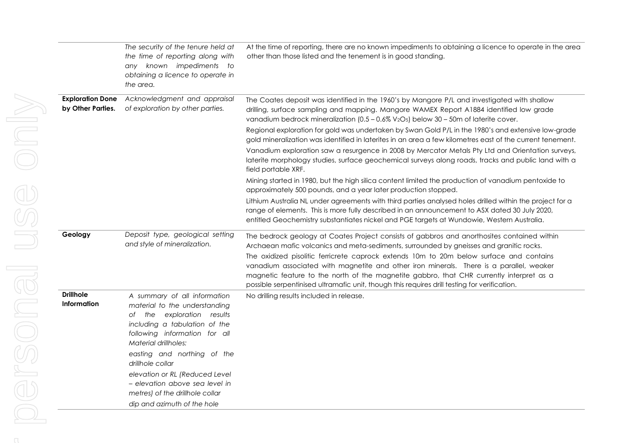|                                              | The security of the tenure held at<br>the time of reporting along with<br>any known impediments to<br>obtaining a licence to operate in<br>the area.                                  | At the time of reporting, there are no known impediments to obtaining a licence to operate in the area<br>other than those listed and the tenement is in good standing.                                                                                                                                                                                                        |
|----------------------------------------------|---------------------------------------------------------------------------------------------------------------------------------------------------------------------------------------|--------------------------------------------------------------------------------------------------------------------------------------------------------------------------------------------------------------------------------------------------------------------------------------------------------------------------------------------------------------------------------|
| <b>Exploration Done</b><br>by Other Parties. | Acknowledgment and appraisal<br>of exploration by other parties.                                                                                                                      | The Coates deposit was identified in the 1960's by Mangore P/L and investigated with shallow<br>drilling, surface sampling and mapping. Mangore WAMEX Report A1884 identified low grade<br>vanadium bedrock mineralization $(0.5 - 0.6\% \text{ V}_2\text{O}_5)$ below $30 - 50$ m of laterite cover.                                                                          |
|                                              |                                                                                                                                                                                       | Regional exploration for gold was undertaken by Swan Gold P/L in the 1980's and extensive low-grade<br>gold mineralization was identified in laterites in an area a few kilometres east of the current tenement.                                                                                                                                                               |
|                                              |                                                                                                                                                                                       | Vanadium exploration saw a resurgence in 2008 by Mercator Metals Pty Ltd and Orientation surveys,<br>laterite morphology studies, surface geochemical surveys along roads, tracks and public land with a<br>field portable XRF.                                                                                                                                                |
|                                              |                                                                                                                                                                                       | Mining started in 1980, but the high silica content limited the production of vanadium pentoxide to<br>approximately 500 pounds, and a year later production stopped.                                                                                                                                                                                                          |
|                                              |                                                                                                                                                                                       | Lithium Australia NL under agreements with third parties analysed holes drilled within the project for a<br>range of elements. This is more fully described in an announcement to ASX dated 30 July 2020,<br>entitled Geochemistry substantiates nickel and PGE targets at Wundowie, Western Australia.                                                                        |
| Geology                                      | Deposit type, geological setting<br>and style of mineralization.                                                                                                                      | The bedrock geology at Coates Project consists of gabbros and anorthosites contained within<br>Archaean mafic volcanics and meta-sediments, surrounded by gneisses and granitic rocks.                                                                                                                                                                                         |
|                                              |                                                                                                                                                                                       | The oxidized pisolitic ferricrete caprock extends 10m to 20m below surface and contains<br>vanadium associated with magnetite and other iron minerals. There is a parallel, weaker<br>magnetic feature to the north of the magnetite gabbro, that CHR currently interpret as a<br>possible serpentinised ultramatic unit, though this requires drill testing for verification. |
| <b>Drillhole</b><br><b>Information</b>       | A summary of all information<br>material to the understanding<br>of the exploration results<br>including a tabulation of the<br>following information for all<br>Material drillholes: | No drilling results included in release.                                                                                                                                                                                                                                                                                                                                       |
|                                              | easting and northing of the<br>drillhole collar                                                                                                                                       |                                                                                                                                                                                                                                                                                                                                                                                |
|                                              | elevation or RL (Reduced Level<br>– elevation above sea level in<br>metres) of the drillhole collar                                                                                   |                                                                                                                                                                                                                                                                                                                                                                                |
|                                              | dip and azimuth of the hole                                                                                                                                                           |                                                                                                                                                                                                                                                                                                                                                                                |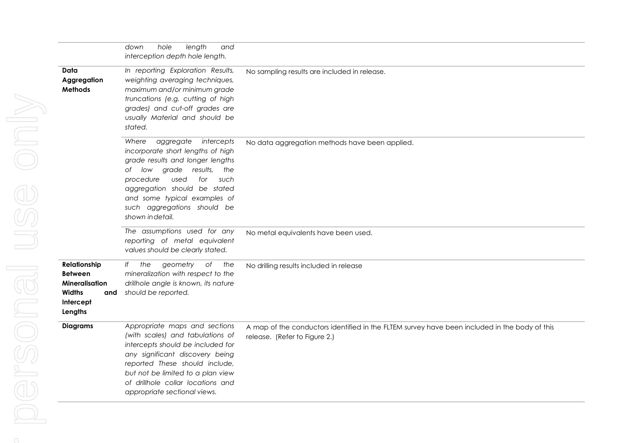|                                                                                                  | hole<br>length<br>down<br>and<br>interception depth hole length.                                                                                                                                                                                                                                |                                                                                                                                |
|--------------------------------------------------------------------------------------------------|-------------------------------------------------------------------------------------------------------------------------------------------------------------------------------------------------------------------------------------------------------------------------------------------------|--------------------------------------------------------------------------------------------------------------------------------|
| Data<br>Aggregation<br><b>Methods</b>                                                            | In reporting Exploration Results,<br>weighting averaging techniques,<br>maximum and/or minimum grade<br>truncations (e.g. cutting of high<br>grades) and cut-off grades are<br>usually Material and should be<br>stated.                                                                        | No sampling results are included in release.                                                                                   |
|                                                                                                  | Where<br>aggregate<br>intercepts<br>incorporate short lengths of high<br>grade results and longer lengths<br>of low grade results,<br>the<br>used<br>procedure<br>for<br>such<br>aggregation should be stated<br>and some typical examples of<br>such aggregations should be<br>shown indetail. | No data aggregation methods have been applied.                                                                                 |
|                                                                                                  | The assumptions used for any<br>reporting of metal equivalent<br>values should be clearly stated.                                                                                                                                                                                               | No metal equivalents have been used.                                                                                           |
| Relationship<br><b>Between</b><br>Mineralisation<br><b>Widths</b><br>and<br>Intercept<br>Lengths | If the<br>geometry<br>of the<br>mineralization with respect to the<br>drillhole angle is known, its nature<br>should be reported.                                                                                                                                                               | No drilling results included in release                                                                                        |
| <b>Diagrams</b>                                                                                  | Appropriate maps and sections<br>(with scales) and tabulations of<br>intercepts should be included for<br>any significant discovery being<br>reported These should include,<br>but not be limited to a plan view<br>of drillhole collar locations and<br>appropriate sectional views.           | A map of the conductors identified in the FLTEM survey have been included in the body of this<br>release. (Refer to Figure 2.) |